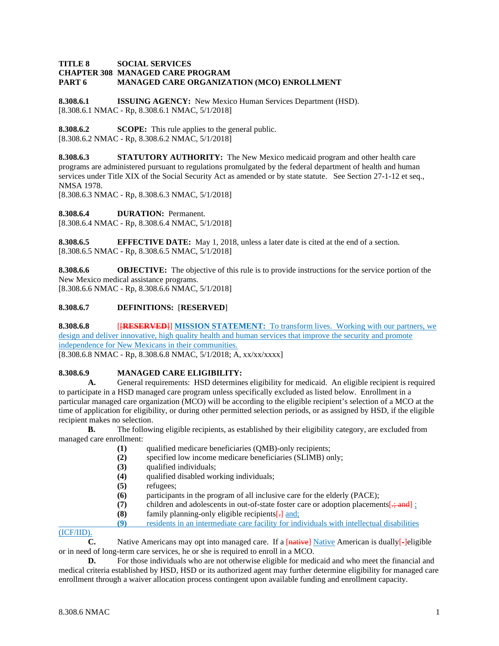### **TITLE 8 SOCIAL SERVICES CHAPTER 308 MANAGED CARE PROGRAM PART 6 MANAGED CARE ORGANIZATION (MCO) ENROLLMENT**

**8.308.6.1 ISSUING AGENCY:** New Mexico Human Services Department (HSD). [8.308.6.1 NMAC - Rp, 8.308.6.1 NMAC, 5/1/2018]

**8.308.6.2 SCOPE:** This rule applies to the general public. [8.308.6.2 NMAC - Rp, 8.308.6.2 NMAC, 5/1/2018]

**8.308.6.3 STATUTORY AUTHORITY:** The New Mexico medicaid program and other health care programs are administered pursuant to regulations promulgated by the federal department of health and human services under Title XIX of the Social Security Act as amended or by state statute. See Section 27-1-12 et seq., NMSA 1978.

[8.308.6.3 NMAC - Rp, 8.308.6.3 NMAC, 5/1/2018]

**8.308.6.4 DURATION:** Permanent.

[8.308.6.4 NMAC - Rp, 8.308.6.4 NMAC, 5/1/2018]

**8.308.6.5 EFFECTIVE DATE:** May 1, 2018, unless a later date is cited at the end of a section. [8.308.6.5 NMAC - Rp, 8.308.6.5 NMAC, 5/1/2018]

**8.308.6.6 OBJECTIVE:** The objective of this rule is to provide instructions for the service portion of the New Mexico medical assistance programs. [8.308.6.6 NMAC - Rp, 8.308.6.6 NMAC, 5/1/2018]

## **8.308.6.7 DEFINITIONS:** [**RESERVED**]

**8.308.6.8** [**RESERVED**]] **MISSION STATEMENT:** To transform lives. Working with our partners, we design and deliver innovative, high quality health and human services that improve the security and promote independence for New Mexicans in their communities.

[8.308.6.8 NMAC - Rp, 8.308.6.8 NMAC, 5/1/2018; A, xx/xx/xxxx]

## **8.308.6.9 MANAGED CARE ELIGIBILITY:**

**A.** General requirements: HSD determines eligibility for medicaid. An eligible recipient is required to participate in a HSD managed care program unless specifically excluded as listed below. Enrollment in a particular managed care organization (MCO) will be according to the eligible recipient's selection of a MCO at the time of application for eligibility, or during other permitted selection periods, or as assigned by HSD, if the eligible recipient makes no selection.

**B.** The following eligible recipients, as established by their eligibility category, are excluded from managed care enrollment:

- (1) qualified medicare beneficiaries (QMB)-only recipients;<br>(2) specified low income medicare beneficiaries (SLIMB) or
- specified low income medicare beneficiaries (SLIMB) only;
- **(3)** qualified individuals;
- **(4)** qualified disabled working individuals;
- **(5)** refugees;
- **(6)** participants in the program of all inclusive care for the elderly (PACE);
- (7) children and adolescents in out-of-state foster care or adoption placements  $\frac{1}{2}$ ; and  $\frac{1}{2}$ ;
- **(8)** family planning-only eligible recipients[.] and;
- **(9)** residents in an intermediate care facility for individuals with intellectual disabilities

### (ICF/IID).

**C.** Native Americans may opt into managed care. If a [native] Native American is dually[-]eligible or in need of long-term care services, he or she is required to enroll in a MCO.

**D.** For those individuals who are not otherwise eligible for medicaid and who meet the financial and medical criteria established by HSD, HSD or its authorized agent may further determine eligibility for managed care enrollment through a waiver allocation process contingent upon available funding and enrollment capacity.